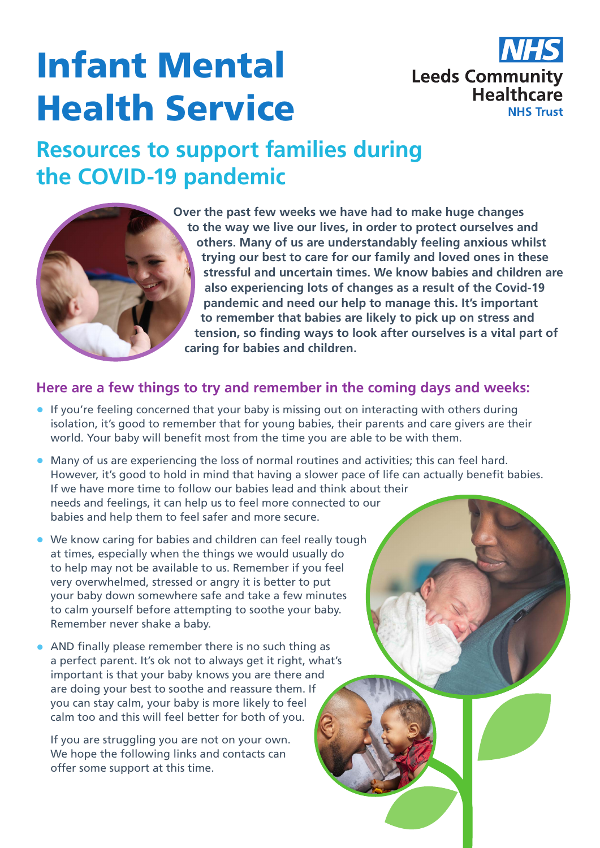# Infant Mental Health Service



## **Resources to support families during the COVID-19 pandemic**

**Over the past few weeks we have had to make huge changes to the way we live our lives, in order to protect ourselves and others. Many of us are understandably feeling anxious whilst trying our best to care for our family and loved ones in these stressful and uncertain times. We know babies and children are also experiencing lots of changes as a result of the Covid-19 pandemic and need our help to manage this. It's important to remember that babies are likely to pick up on stress and tension, so finding ways to look after ourselves is a vital part of caring for babies and children.**

#### **Here are a few things to try and remember in the coming days and weeks:**

- If you're feeling concerned that your baby is missing out on interacting with others during isolation, it's good to remember that for young babies, their parents and care givers are their world. Your baby will benefit most from the time you are able to be with them.
- Many of us are experiencing the loss of normal routines and activities; this can feel hard. However, it's good to hold in mind that having a slower pace of life can actually benefit babies. If we have more time to follow our babies lead and think about their needs and feelings, it can help us to feel more connected to our babies and help them to feel safer and more secure.
- We know caring for babies and children can feel really tough at times, especially when the things we would usually do to help may not be available to us. Remember if you feel very overwhelmed, stressed or angry it is better to put your baby down somewhere safe and take a few minutes to calm yourself before attempting to soothe your baby. Remember never shake a baby.
- AND finally please remember there is no such thing as a perfect parent. It's ok not to always get it right, what's important is that your baby knows you are there and are doing your best to soothe and reassure them. If you can stay calm, your baby is more likely to feel calm too and this will feel better for both of you.

If you are struggling you are not on your own. We hope the following links and contacts can offer some support at this time.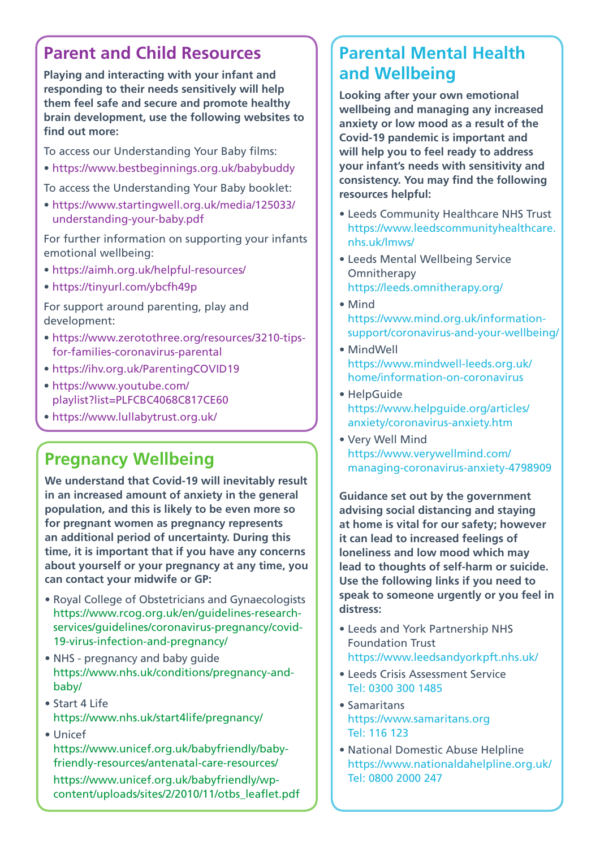#### **Parent and Child Resources**

**Playing and interacting with your infant and responding to their needs sensitively will help them feel safe and secure and promote healthy brain development, use the following websites to find out more:**

To access our Understanding Your Baby films:

• https://www.bestbeginnings.org.uk/babybuddy

To access the Understanding Your Baby booklet:

• [https://www.startingwell.org.uk/media/125033/](https://www.startingwell.org.uk/media/125033/understanding-your-baby.pdf) [understanding-your-baby.pdf](https://www.startingwell.org.uk/media/125033/understanding-your-baby.pdf)

For further information on supporting your infants emotional wellbeing:

- https://aimh.org.uk/helpful-resources/
- https://tinyurl.com/ybcfh49p

For support around parenting, play and development:

- https://www.zerotothree.org/resources/3210-tipsfor-families-coronavirus-parental
- https://ihv.org.uk/ParentingCOVID19
- [https://www.youtube.com/](https://www.youtube.com/playlist?list=PLFCBC4068C817CE60) [playlist?list=PLFCBC4068C817CE60](https://www.youtube.com/playlist?list=PLFCBC4068C817CE60)
- https://www.lullabytrust.org.uk/

#### **Pregnancy Wellbeing**

**We understand that Covid-19 will inevitably result in an increased amount of anxiety in the general population, and this is likely to be even more so for pregnant women as pregnancy represents an additional period of uncertainty. During this time, it is important that if you have any concerns about yourself or your pregnancy at any time, you can contact your midwife or GP:**

- Royal College of Obstetricians and Gynaecologists https://www.rcog.org.uk/en/guidelines-researchservices/guidelines/coronavirus-pregnancy/covid-19-virus-infection-and-pregnancy/
- NHS pregnancy and baby guide [https://www.nhs.uk/conditions/pregnancy-and](https://www.nhs.uk/conditions/pregnancy-and-baby/)[baby/](https://www.nhs.uk/conditions/pregnancy-and-baby/)
- Start 4 Life https://www.nhs.uk/start4life/pregnancy/
- Unicef https://www.unicef.org.uk/babyfriendly/babyfriendly-resources/antenatal-care-resources/ https://www.unicef.org.uk/babyfriendly/wpcontent/uploads/sites/2/2010/11/otbs\_leaflet.pdf

#### **Parental Mental Health and Wellbeing**

**Looking after your own emotional wellbeing and managing any increased anxiety or low mood as a result of the Covid-19 pandemic is important and will help you to feel ready to address your infant's needs with sensitivity and consistency. You may find the following resources helpful:**

- Leeds Community Healthcare NHS Trust [https://www.leedscommunityhealthcare.](https://www.leedscommunityhealthcare.nhs.uk/our-services-a-z/leeds-mental-wellbeing-service/home/) [nhs.uk/lmws/](https://www.leedscommunityhealthcare.nhs.uk/our-services-a-z/leeds-mental-wellbeing-service/home/)
- Leeds Mental Wellbeing Service **Omnitherapy** https://leeds.omnitherapy.org/
- Mind [https://www.mind.org.uk/information](https://www.mind.org.uk/information-support/coronavirus/coronavirus-and-your-wellbeing/)[support/coronavirus-and-your-wellbeing/](https://www.mind.org.uk/information-support/coronavirus/coronavirus-and-your-wellbeing/)
- MindWell https://www.mindwell-leeds.org.uk/ home/information-on-coronavirus
- HelpGuide https://www.helpguide.org/articles/ anxiety/coronavirus-anxiety.htm
- Very Well Mind [https://www.verywellmind.com/](https://www.verywellmind.com/managing-coronavirus-anxiety-4798909) [managing-coronavirus-anxiety-4798909](https://www.verywellmind.com/managing-coronavirus-anxiety-4798909)

**Guidance set out by the government advising social distancing and staying at home is vital for our safety; however it can lead to increased feelings of loneliness and low mood which may lead to thoughts of self-harm or suicide. Use the following links if you need to speak to someone urgently or you feel in distress:**

- Leeds and York Partnership NHS Foundation Trust https://www.leedsandyorkpft.nhs.uk/
- Leeds Crisis Assessment Service Tel: 0300 300 1485
- Samaritans https://www.samaritans.org Tel: 116 123
- National Domestic Abuse Helpline https://www.nationaldahelpline.org.uk/ Tel: 0800 2000 247